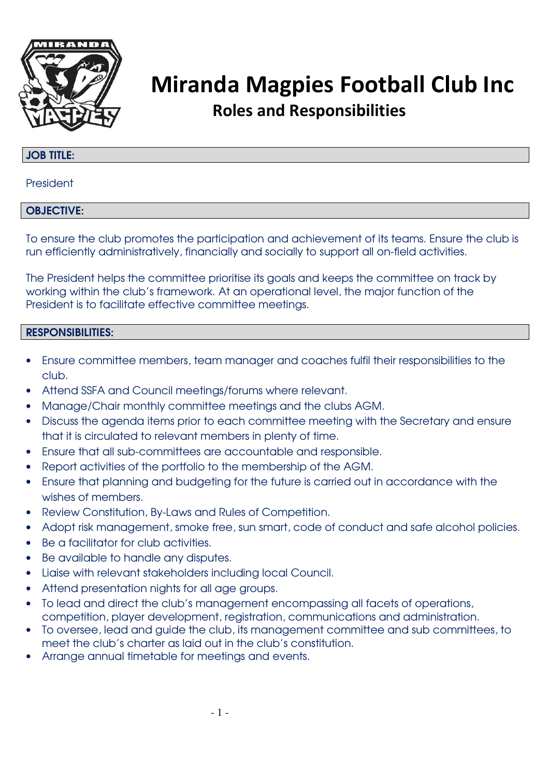

#### JOB TITLE:

President

#### OBJECTIVE:

To ensure the club promotes the participation and achievement of its teams. Ensure the club is run efficiently administratively, financially and socially to support all on-field activities.

The President helps the committee prioritise its goals and keeps the committee on track by working within the club's framework. At an operational level, the major function of the President is to facilitate effective committee meetings.

- Ensure committee members, team manager and coaches fulfil their responsibilities to the club.
- Attend SSFA and Council meetings/forums where relevant.
- Manage/Chair monthly committee meetings and the clubs AGM.
- Discuss the agenda items prior to each committee meeting with the Secretary and ensure that it is circulated to relevant members in plenty of time.
- Ensure that all sub-committees are accountable and responsible.
- Report activities of the portfolio to the membership of the AGM.
- Ensure that planning and budgeting for the future is carried out in accordance with the wishes of members.
- Review Constitution, By-Laws and Rules of Competition.
- Adopt risk management, smoke free, sun smart, code of conduct and safe alcohol policies.
- Be a facilitator for club activities.
- Be available to handle any disputes.
- Liaise with relevant stakeholders including local Council.
- Attend presentation nights for all age groups.
- To lead and direct the club's management encompassing all facets of operations, competition, player development, registration, communications and administration.
- To oversee, lead and guide the club, its management committee and sub committees, to meet the club's charter as laid out in the club's constitution.
- Arrange annual timetable for meetings and events.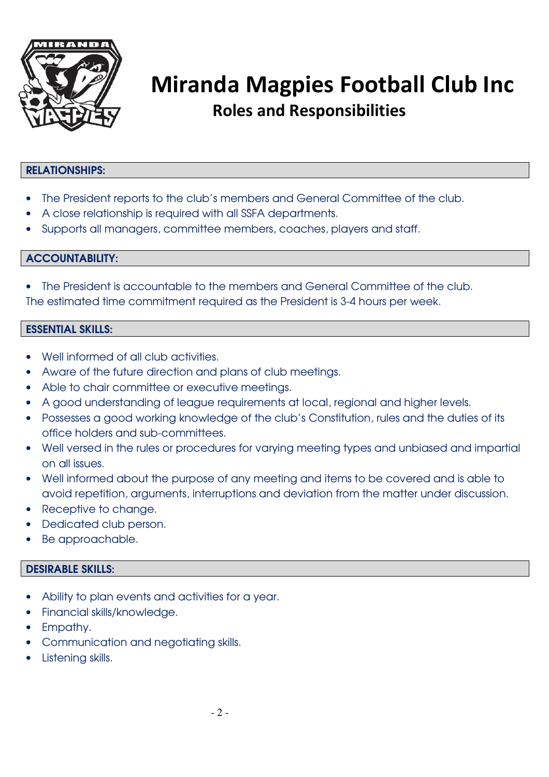

### RELATIONSHIPS:

- The President reports to the club's members and General Committee of the club.
- A close relationship is required with all SSFA departments.
- Supports all managers, committee members, coaches, players and staff.

### ACCOUNTABILITY:

• The President is accountable to the members and General Committee of the club. The estimated time commitment required as the President is 3-4 hours per week.

#### ESSENTIAL SKILLS:

- Well informed of all club activities.
- Aware of the future direction and plans of club meetings.
- Able to chair committee or executive meetings.
- A good understanding of league requirements at local, regional and higher levels.
- Possesses a good working knowledge of the club's Constitution, rules and the duties of its office holders and sub-committees.
- Well versed in the rules or procedures for varying meeting types and unbiased and impartial on all issues.
- Well informed about the purpose of any meeting and items to be covered and is able to avoid repetition, arguments, interruptions and deviation from the matter under discussion.
- Receptive to change.
- Dedicated club person.
- Be approachable.

- Ability to plan events and activities for a year.
- Financial skills/knowledge.
- Empathy.
- Communication and negotiating skills.
- Listening skills.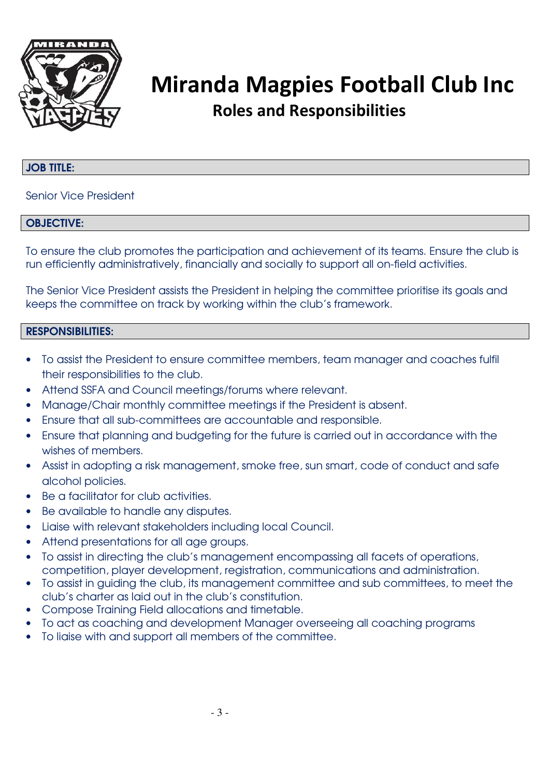

#### JOB TITLE:

Senior Vice President

#### OBJECTIVE:

To ensure the club promotes the participation and achievement of its teams. Ensure the club is run efficiently administratively, financially and socially to support all on-field activities.

The Senior Vice President assists the President in helping the committee prioritise its goals and keeps the committee on track by working within the club's framework.

- To assist the President to ensure committee members, team manager and coaches fulfil their responsibilities to the club.
- Attend SSFA and Council meetings/forums where relevant.
- Manage/Chair monthly committee meetings if the President is absent.
- Ensure that all sub-committees are accountable and responsible.
- Ensure that planning and budgeting for the future is carried out in accordance with the wishes of members.
- Assist in adopting a risk management, smoke free, sun smart, code of conduct and safe alcohol policies.
- Be a facilitator for club activities.
- Be available to handle any disputes.
- Liaise with relevant stakeholders including local Council.
- Attend presentations for all age groups.
- To assist in directing the club's management encompassing all facets of operations, competition, player development, registration, communications and administration.
- To assist in guiding the club, its management committee and sub committees, to meet the club's charter as laid out in the club's constitution.
- Compose Training Field allocations and timetable.
- To act as coaching and development Manager overseeing all coaching programs
- To liaise with and support all members of the committee.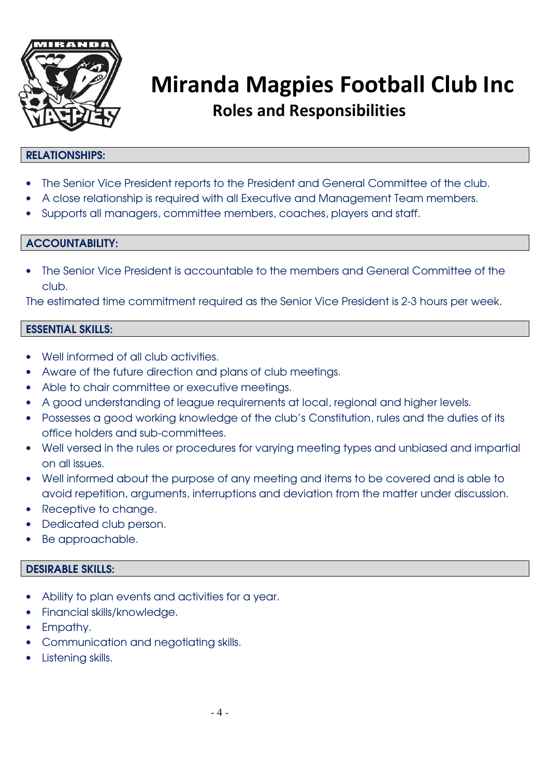

#### RELATIONSHIPS:

- The Senior Vice President reports to the President and General Committee of the club.
- A close relationship is required with all Executive and Management Team members.
- Supports all managers, committee members, coaches, players and staff.

#### ACCOUNTABILITY:

• The Senior Vice President is accountable to the members and General Committee of the club.

The estimated time commitment required as the Senior Vice President is 2-3 hours per week.

#### ESSENTIAL SKILLS:

- Well informed of all club activities.
- Aware of the future direction and plans of club meetings.
- Able to chair committee or executive meetings.
- A good understanding of league requirements at local, regional and higher levels.
- Possesses a good working knowledge of the club's Constitution, rules and the duties of its office holders and sub-committees.
- Well versed in the rules or procedures for varying meeting types and unbiased and impartial on all issues.
- Well informed about the purpose of any meeting and items to be covered and is able to avoid repetition, arguments, interruptions and deviation from the matter under discussion.
- Receptive to change.
- Dedicated club person.
- Be approachable.

- Ability to plan events and activities for a year.
- Financial skills/knowledge.
- Empathy.
- Communication and negotiating skills.
- Listening skills.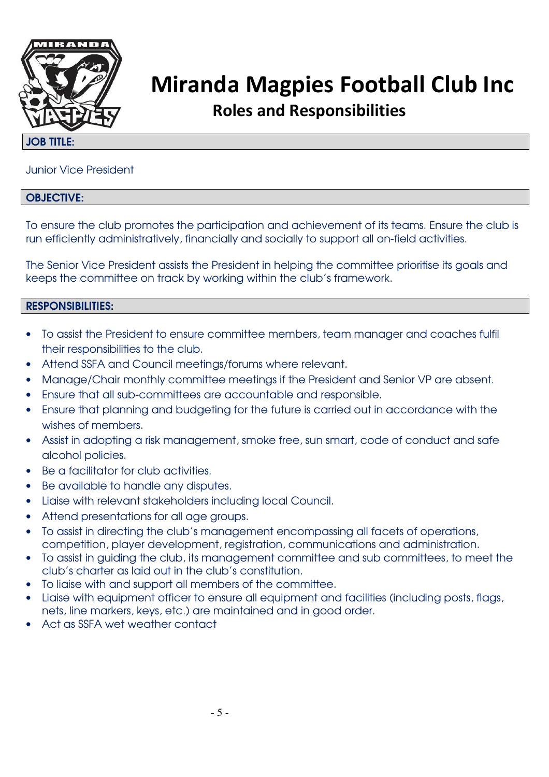

#### JOB TITLE:

### Junior Vice President

#### OBJECTIVE:

To ensure the club promotes the participation and achievement of its teams. Ensure the club is run efficiently administratively, financially and socially to support all on-field activities.

The Senior Vice President assists the President in helping the committee prioritise its goals and keeps the committee on track by working within the club's framework.

- To assist the President to ensure committee members, team manager and coaches fulfil their responsibilities to the club.
- Attend SSFA and Council meetings/forums where relevant.
- Manage/Chair monthly committee meetings if the President and Senior VP are absent.
- Ensure that all sub-committees are accountable and responsible.
- Ensure that planning and budgeting for the future is carried out in accordance with the wishes of members.
- Assist in adopting a risk management, smoke free, sun smart, code of conduct and safe alcohol policies.
- Be a facilitator for club activities.
- Be available to handle any disputes.
- Liaise with relevant stakeholders including local Council.
- Attend presentations for all age groups.
- To assist in directing the club's management encompassing all facets of operations, competition, player development, registration, communications and administration.
- To assist in guiding the club, its management committee and sub committees, to meet the club's charter as laid out in the club's constitution.
- To liaise with and support all members of the committee.
- Liaise with equipment officer to ensure all equipment and facilities (including posts, flags, nets, line markers, keys, etc.) are maintained and in good order.
- Act as SSFA wet weather contact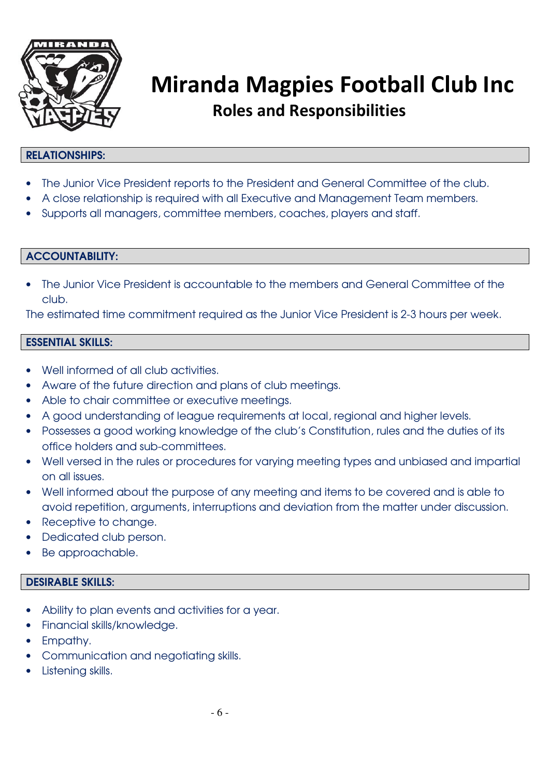

#### RELATIONSHIPS:

- The Junior Vice President reports to the President and General Committee of the club.
- A close relationship is required with all Executive and Management Team members.
- Supports all managers, committee members, coaches, players and staff.

#### ACCOUNTABILITY:

• The Junior Vice President is accountable to the members and General Committee of the club.

The estimated time commitment required as the Junior Vice President is 2-3 hours per week.

#### ESSENTIAL SKILLS:

- Well informed of all club activities.
- Aware of the future direction and plans of club meetings.
- Able to chair committee or executive meetings.
- A good understanding of league requirements at local, regional and higher levels.
- Possesses a good working knowledge of the club's Constitution, rules and the duties of its office holders and sub-committees.
- Well versed in the rules or procedures for varying meeting types and unbiased and impartial on all issues.
- Well informed about the purpose of any meeting and items to be covered and is able to avoid repetition, arguments, interruptions and deviation from the matter under discussion.
- Receptive to change.
- Dedicated club person.
- Be approachable.

- Ability to plan events and activities for a year.
- Financial skills/knowledge.
- Empathy.
- Communication and negotiating skills.
- Listening skills.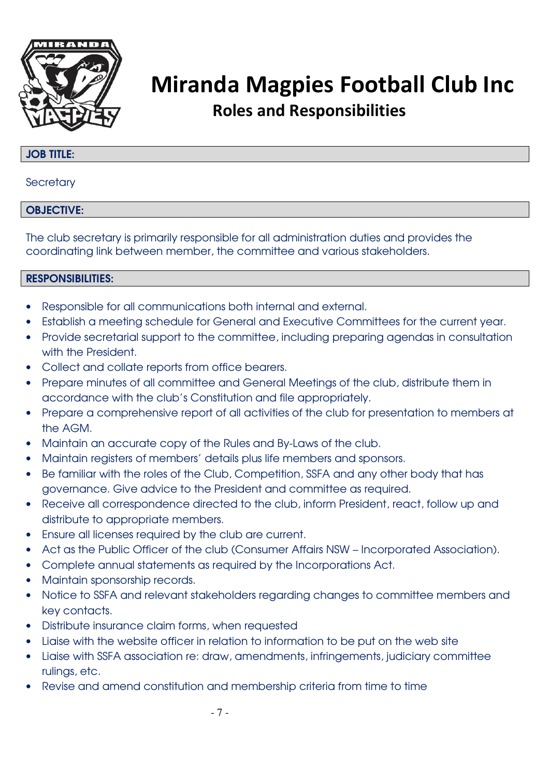

#### JOB TITLE:

**Secretary** 

#### OBJECTIVE:

The club secretary is primarily responsible for all administration duties and provides the coordinating link between member, the committee and various stakeholders.

- Responsible for all communications both internal and external.
- Establish a meeting schedule for General and Executive Committees for the current year.
- Provide secretarial support to the committee, including preparing agendas in consultation with the President.
- Collect and collate reports from office bearers.
- Prepare minutes of all committee and General Meetings of the club, distribute them in accordance with the club's Constitution and file appropriately.
- Prepare a comprehensive report of all activities of the club for presentation to members at the AGM.
- Maintain an accurate copy of the Rules and By-Laws of the club.
- Maintain registers of members' details plus life members and sponsors.
- Be familiar with the roles of the Club, Competition, SSFA and any other body that has governance. Give advice to the President and committee as required.
- Receive all correspondence directed to the club, inform President, react, follow up and distribute to appropriate members.
- Ensure all licenses required by the club are current.
- Act as the Public Officer of the club (Consumer Affairs NSW Incorporated Association).
- Complete annual statements as required by the Incorporations Act.
- Maintain sponsorship records.
- Notice to SSFA and relevant stakeholders regarding changes to committee members and key contacts.
- Distribute insurance claim forms, when requested
- Liaise with the website officer in relation to information to be put on the web site
- Liaise with SSFA association re: draw, amendments, infringements, judiciary committee rulings, etc.
- Revise and amend constitution and membership criteria from time to time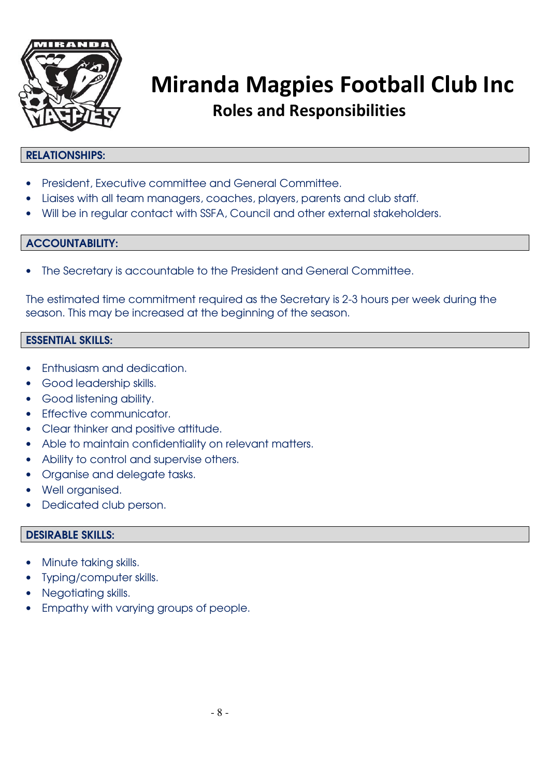

#### RELATIONSHIPS:

- President, Executive committee and General Committee.
- Liaises with all team managers, coaches, players, parents and club staff.
- Will be in regular contact with SSFA, Council and other external stakeholders.

#### ACCOUNTABILITY:

• The Secretary is accountable to the President and General Committee.

The estimated time commitment required as the Secretary is 2-3 hours per week during the season. This may be increased at the beginning of the season.

#### ESSENTIAL SKILLS:

- Enthusiasm and dedication.
- Good leadership skills.
- Good listening ability.
- Effective communicator.
- Clear thinker and positive attitude.
- Able to maintain confidentiality on relevant matters.
- Ability to control and supervise others.
- Organise and delegate tasks.
- Well organised.
- Dedicated club person.

- Minute taking skills.
- Typing/computer skills.
- Negotiating skills.
- Empathy with varying groups of people.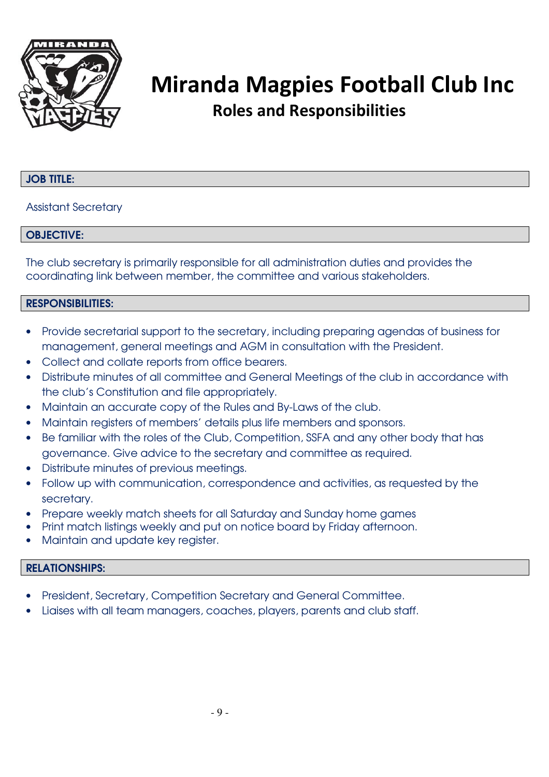

#### JOB TITLE:

#### Assistant Secretary

#### OBJECTIVE:

The club secretary is primarily responsible for all administration duties and provides the coordinating link between member, the committee and various stakeholders.

#### RESPONSIBILITIES:

- Provide secretarial support to the secretary, including preparing agendas of business for management, general meetings and AGM in consultation with the President.
- Collect and collate reports from office bearers.
- Distribute minutes of all committee and General Meetings of the club in accordance with the club's Constitution and file appropriately.
- Maintain an accurate copy of the Rules and By-Laws of the club.
- Maintain registers of members' details plus life members and sponsors.
- Be familiar with the roles of the Club, Competition, SSFA and any other body that has governance. Give advice to the secretary and committee as required.
- Distribute minutes of previous meetings.
- Follow up with communication, correspondence and activities, as requested by the secretary.
- Prepare weekly match sheets for all Saturday and Sunday home games
- Print match listings weekly and put on notice board by Friday afternoon.
- Maintain and update key reaister.

#### RELATIONSHIPS:

- President, Secretary, Competition Secretary and General Committee.
- Liaises with all team managers, coaches, players, parents and club staff.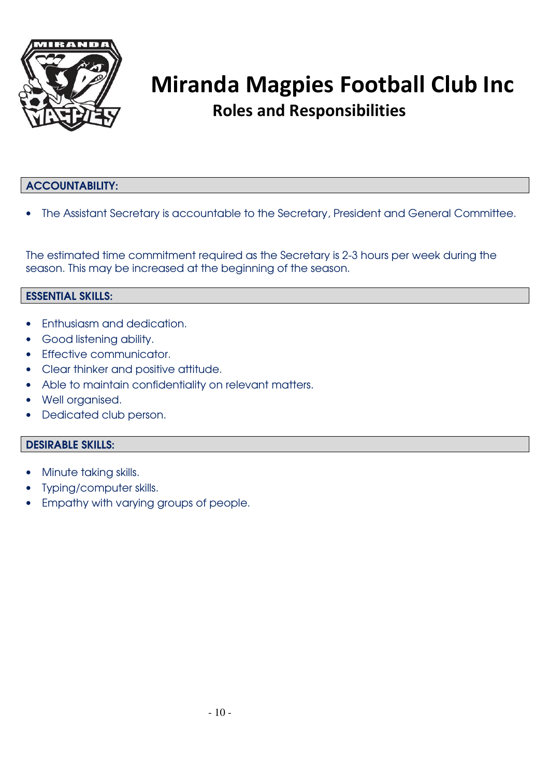

### ACCOUNTABILITY:

• The Assistant Secretary is accountable to the Secretary, President and General Committee.

The estimated time commitment required as the Secretary is 2-3 hours per week during the season. This may be increased at the beginning of the season.

#### ESSENTIAL SKILLS:

- Enthusiasm and dedication.
- Good listening ability.
- Effective communicator.
- Clear thinker and positive attitude.
- Able to maintain confidentiality on relevant matters.
- Well organised.
- Dedicated club person.

- Minute taking skills.
- Typing/computer skills.
- Empathy with varying groups of people.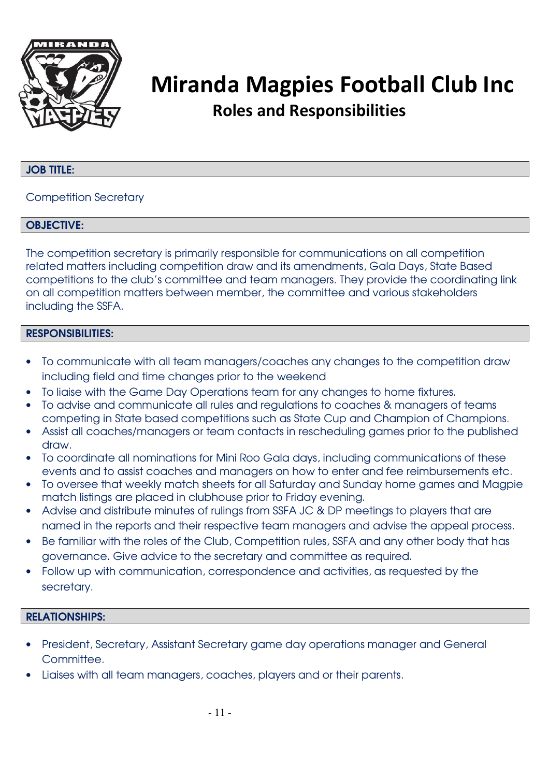

#### JOB TITLE:

Competition Secretary

#### OBJECTIVE:

The competition secretary is primarily responsible for communications on all competition related matters including competition draw and its amendments, Gala Days, State Based competitions to the club's committee and team managers. They provide the coordinating link on all competition matters between member, the committee and various stakeholders including the SSFA.

#### RESPONSIBILITIES:

- To communicate with all team managers/coaches any changes to the competition draw including field and time changes prior to the weekend
- To liaise with the Game Day Operations team for any changes to home fixtures.
- To advise and communicate all rules and regulations to coaches & managers of teams competing in State based competitions such as State Cup and Champion of Champions.
- Assist all coaches/managers or team contacts in rescheduling games prior to the published draw.
- To coordinate all nominations for Mini Roo Gala days, including communications of these events and to assist coaches and managers on how to enter and fee reimbursements etc.
- To oversee that weekly match sheets for all Saturday and Sunday home games and Magpie match listings are placed in clubhouse prior to Friday evening.
- Advise and distribute minutes of rulings from SSFA JC & DP meetings to players that are named in the reports and their respective team managers and advise the appeal process.
- Be familiar with the roles of the Club, Competition rules, SSFA and any other body that has governance. Give advice to the secretary and committee as required.
- Follow up with communication, correspondence and activities, as requested by the secretary.

#### RELATIONSHIPS:

- President, Secretary, Assistant Secretary game day operations manager and General Committee.
- Liaises with all team managers, coaches, players and or their parents.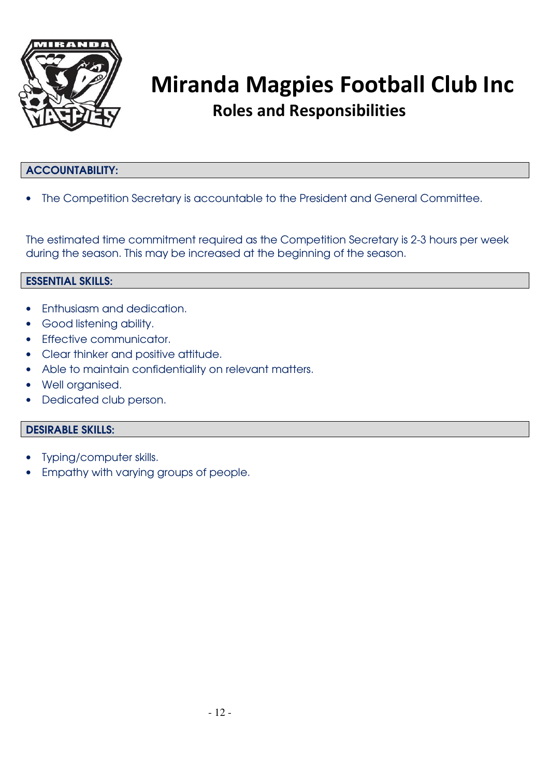

### ACCOUNTABILITY:

• The Competition Secretary is accountable to the President and General Committee.

The estimated time commitment required as the Competition Secretary is 2-3 hours per week during the season. This may be increased at the beginning of the season.

#### ESSENTIAL SKILLS:

- Enthusiasm and dedication.
- Good listening ability.
- Effective communicator.
- Clear thinker and positive attitude.
- Able to maintain confidentiality on relevant matters.
- Well organised.
- Dedicated club person.

- Typing/computer skills.
- Empathy with varying groups of people.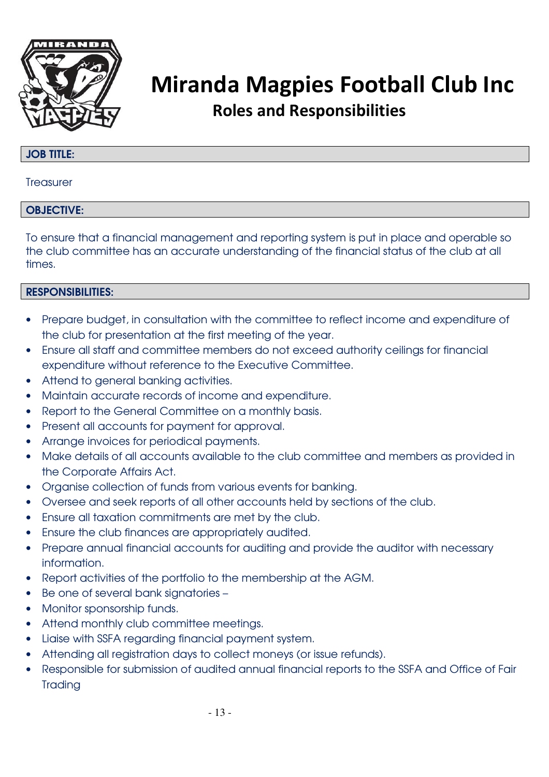

#### JOB TITLE:

**Treasurer** 

#### OBJECTIVE:

To ensure that a financial management and reporting system is put in place and operable so the club committee has an accurate understanding of the financial status of the club at all times.

- Prepare budget, in consultation with the committee to reflect income and expenditure of the club for presentation at the first meeting of the year.
- Ensure all staff and committee members do not exceed authority ceilings for financial expenditure without reference to the Executive Committee.
- Attend to general banking activities.
- Maintain accurate records of income and expenditure.
- Report to the General Committee on a monthly basis.
- Present all accounts for payment for approval.
- Arrange invoices for periodical payments.
- Make details of all accounts available to the club committee and members as provided in the Corporate Affairs Act.
- Organise collection of funds from various events for banking.
- Oversee and seek reports of all other accounts held by sections of the club.
- Ensure all taxation commitments are met by the club.
- Ensure the club finances are appropriately audited.
- Prepare annual financial accounts for auditing and provide the auditor with necessary information.
- Report activities of the portfolio to the membership at the AGM.
- Be one of several bank signatories –
- Monitor sponsorship funds.
- Attend monthly club committee meetings.
- Liaise with SSFA regarding financial payment system.
- Attending all registration days to collect moneys (or issue refunds).
- Responsible for submission of audited annual financial reports to the SSFA and Office of Fair **Trading**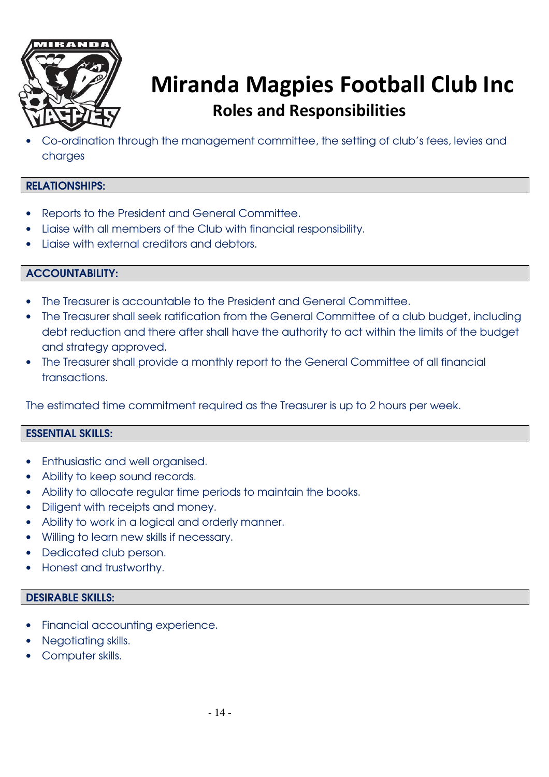

• Co-ordination through the management committee, the setting of club's fees, levies and charges

### RELATIONSHIPS:

- Reports to the President and General Committee.
- Liaise with all members of the Club with financial responsibility.
- Liaise with external creditors and debtors.

### ACCOUNTABILITY:

- The Treasurer is accountable to the President and General Committee.
- The Treasurer shall seek ratification from the General Committee of a club budget, including debt reduction and there after shall have the authority to act within the limits of the budget and strategy approved.
- The Treasurer shall provide a monthly report to the General Committee of all financial transactions.

The estimated time commitment required as the Treasurer is up to 2 hours per week.

### ESSENTIAL SKILLS:

- Enthusiastic and well organised.
- Ability to keep sound records.
- Ability to allocate regular time periods to maintain the books.
- Diligent with receipts and money.
- Ability to work in a logical and orderly manner.
- Willing to learn new skills if necessary.
- Dedicated club person.
- Honest and trustworthy.

- Financial accounting experience.
- Negotiating skills.
- Computer skills.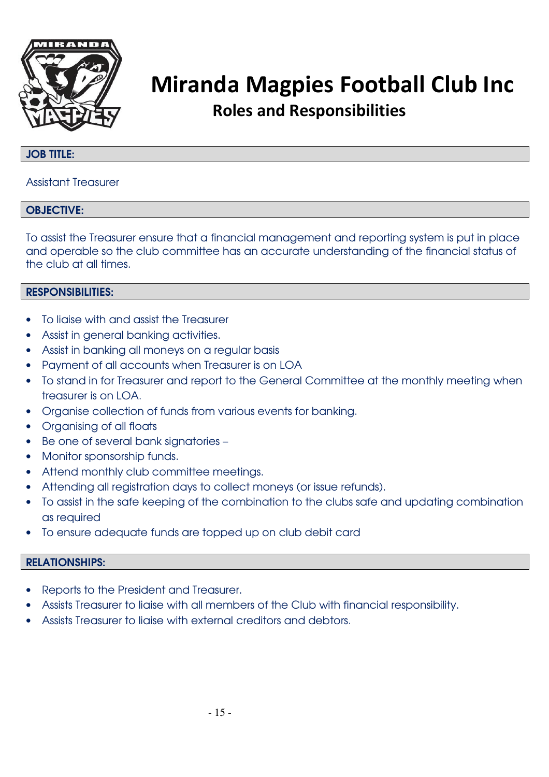

#### JOB TITLE:

#### Assistant Treasurer

#### OBJECTIVE:

To assist the Treasurer ensure that a financial management and reporting system is put in place and operable so the club committee has an accurate understanding of the financial status of the club at all times.

### RESPONSIBILITIES:

- To ligise with and assist the Treasurer
- Assist in general banking activities.
- Assist in banking all moneys on a regular basis
- Payment of all accounts when Treasurer is on LOA
- To stand in for Treasurer and report to the General Committee at the monthly meeting when treasurer is on LOA.
- Organise collection of funds from various events for banking.
- Organising of all floats
- Be one of several bank signatories –
- Monitor sponsorship funds.
- Attend monthly club committee meetings.
- Attending all registration days to collect moneys (or issue refunds).
- To assist in the safe keeping of the combination to the clubs safe and updating combination as required
- To ensure adequate funds are topped up on club debit card

#### RELATIONSHIPS:

- Reports to the President and Treasurer.
- Assists Treasurer to liaise with all members of the Club with financial responsibility.
- Assists Treasurer to liaise with external creditors and debtors.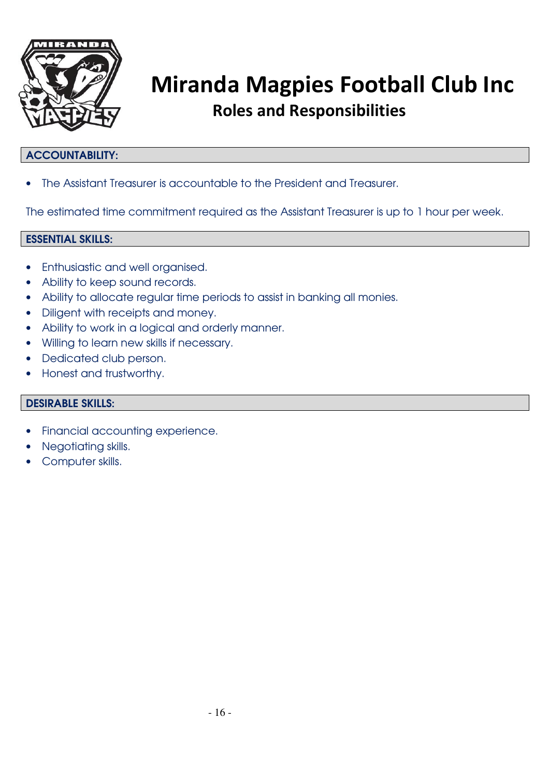

### ACCOUNTABILITY:

• The Assistant Treasurer is accountable to the President and Treasurer.

The estimated time commitment required as the Assistant Treasurer is up to 1 hour per week.

#### ESSENTIAL SKILLS:

- Enthusiastic and well organised.
- Ability to keep sound records.
- Ability to allocate regular time periods to assist in banking all monies.
- Diligent with receipts and money.
- Ability to work in a logical and orderly manner.
- Willing to learn new skills if necessary.
- Dedicated club person.
- Honest and trustworthy.

- Financial accounting experience.
- Negotiating skills.
- Computer skills.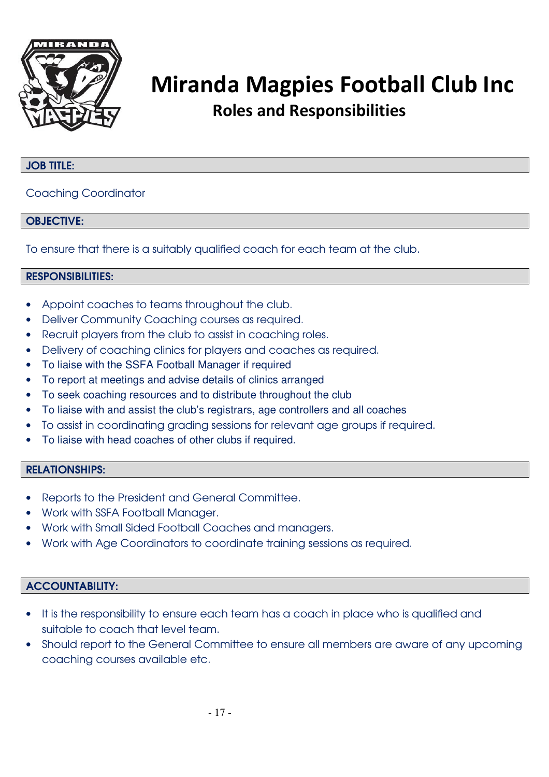

#### JOB TITLE:

#### Coaching Coordinator

#### OBJECTIVE:

To ensure that there is a suitably qualified coach for each team at the club.

#### RESPONSIBILITIES:

- Appoint coaches to teams throughout the club.
- Deliver Community Coaching courses as required.
- Recruit players from the club to assist in coaching roles.
- Delivery of coaching clinics for players and coaches as required.
- To liaise with the SSFA Football Manager if required
- To report at meetings and advise details of clinics arranged
- To seek coaching resources and to distribute throughout the club
- To liaise with and assist the club's registrars, age controllers and all coaches
- To assist in coordinating grading sessions for relevant age groups if required.
- To liaise with head coaches of other clubs if required.

#### RELATIONSHIPS:

- Reports to the President and General Committee.
- Work with SSFA Football Manager.
- Work with Small Sided Football Coaches and managers.
- Work with Age Coordinators to coordinate training sessions as required.

#### ACCOUNTABILITY:

- It is the responsibility to ensure each team has a coach in place who is qualified and suitable to coach that level team.
- Should report to the General Committee to ensure all members are aware of any upcoming coaching courses available etc.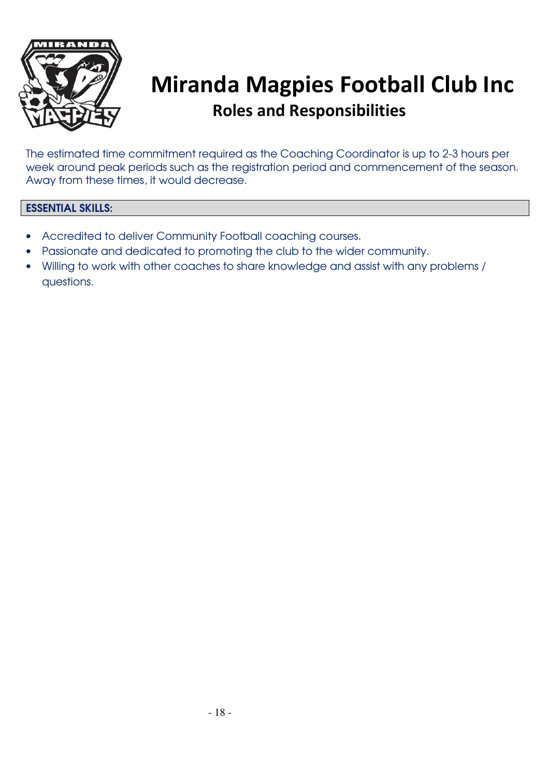

The estimated time commitment required as the Coaching Coordinator is up to 2-3 hours per week around peak periods such as the registration period and commencement of the season. Away from these times, it would decrease.

### ESSENTIAL SKILLS:

- Accredited to deliver Community Football coaching courses.
- Passionate and dedicated to promoting the club to the wider community.
- Willing to work with other coaches to share knowledge and assist with any problems / questions.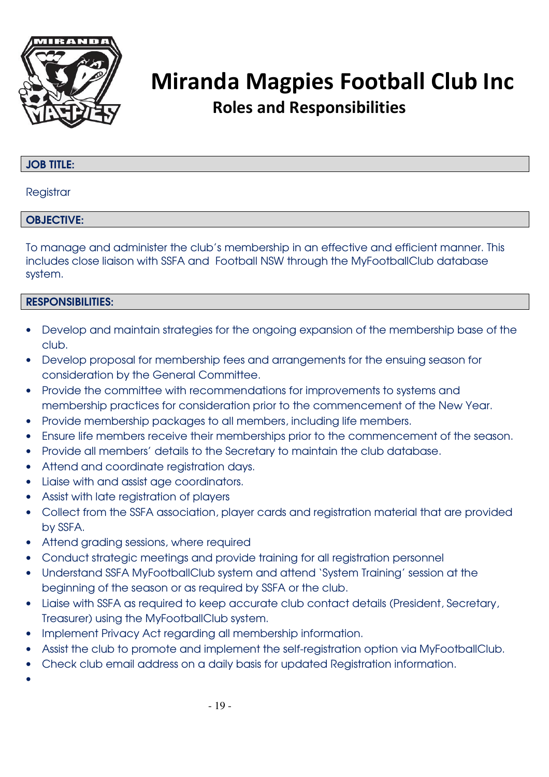

#### JOB TITLE:

#### **Registrar**

#### OBJECTIVE:

To manage and administer the club's membership in an effective and efficient manner. This includes close liaison with SSFA and Football NSW through the MyFootballClub database system.

#### RESPONSIBILITIES:

- Develop and maintain strategies for the ongoing expansion of the membership base of the club.
- Develop proposal for membership fees and arrangements for the ensuing season for consideration by the General Committee.
- Provide the committee with recommendations for improvements to systems and membership practices for consideration prior to the commencement of the New Year.
- Provide membership packages to all members, including life members.
- Ensure life members receive their memberships prior to the commencement of the season.
- Provide all members' details to the Secretary to maintain the club database.
- Attend and coordinate registration days.
- Liaise with and assist age coordinators.
- Assist with late registration of players
- Collect from the SSFA association, player cards and registration material that are provided by SSFA.
- Attend grading sessions, where required
- Conduct strategic meetings and provide training for all registration personnel
- Understand SSFA MyFootballClub system and attend 'System Training' session at the beginning of the season or as required by SSFA or the club.
- Liaise with SSFA as required to keep accurate club contact details (President, Secretary, Treasurer) using the MyFootballClub system.
- Implement Privacy Act regarding all membership information.
- Assist the club to promote and implement the self-registration option via MyFootballClub.
- Check club email address on a daily basis for updated Registration information.

•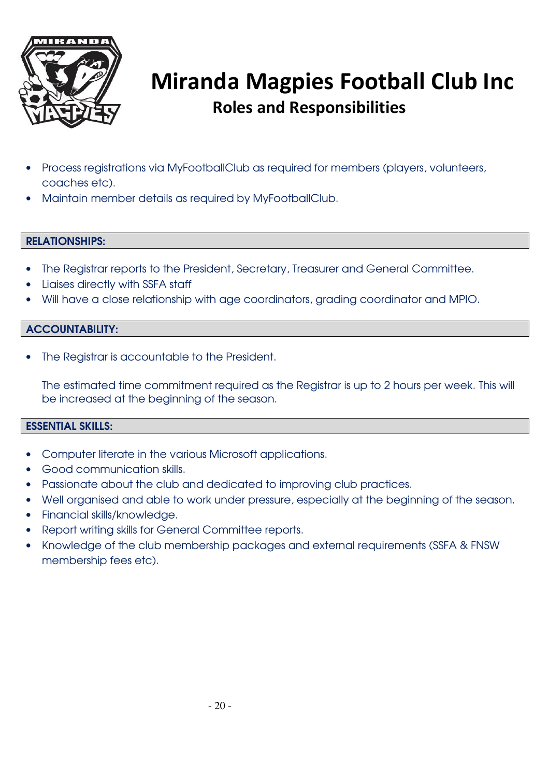

- Process registrations via MyFootballClub as required for members (players, volunteers, coaches etc).
- Maintain member details as required by MyFootballClub.

#### RELATIONSHIPS:

- The Registrar reports to the President, Secretary, Treasurer and General Committee.
- Liaises directly with SSFA staff
- Will have a close relationship with age coordinators, grading coordinator and MPIO.

#### ACCOUNTABILITY:

The Registrar is accountable to the President.

The estimated time commitment required as the Registrar is up to 2 hours per week. This will be increased at the beginning of the season.

#### ESSENTIAL SKILLS:

- Computer literate in the various Microsoft applications.
- Good communication skills.
- Passionate about the club and dedicated to improving club practices.
- Well organised and able to work under pressure, especially at the beginning of the season.
- Financial skills/knowledge.
- Report writing skills for General Committee reports.
- Knowledge of the club membership packages and external requirements (SSFA & FNSW membership fees etc).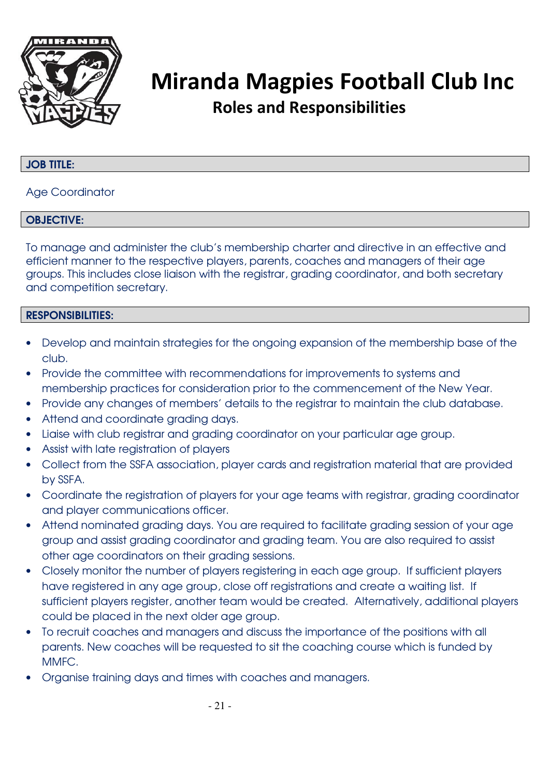

### JOB TITLE:

#### Age Coordinator

#### OBJECTIVE:

To manage and administer the club's membership charter and directive in an effective and efficient manner to the respective players, parents, coaches and managers of their age groups. This includes close liaison with the registrar, grading coordinator, and both secretary and competition secretary.

- Develop and maintain strategies for the ongoing expansion of the membership base of the club.
- Provide the committee with recommendations for improvements to systems and membership practices for consideration prior to the commencement of the New Year.
- Provide any changes of members' details to the registrar to maintain the club database.
- Attend and coordinate grading days.
- Liaise with club registrar and grading coordinator on your particular age group.
- Assist with late registration of players
- Collect from the SSFA association, player cards and registration material that are provided by SSFA.
- Coordinate the registration of players for your age teams with registrar, grading coordinator and player communications officer.
- Attend nominated grading days. You are required to facilitate grading session of your age group and assist grading coordinator and grading team. You are also required to assist other age coordinators on their grading sessions.
- Closely monitor the number of players registering in each age group. If sufficient players have registered in any age group, close off registrations and create a waiting list. If sufficient players register, another team would be created. Alternatively, additional players could be placed in the next older age group.
- To recruit coaches and managers and discuss the importance of the positions with all parents. New coaches will be requested to sit the coaching course which is funded by MMFC.
- Organise training days and times with coaches and managers.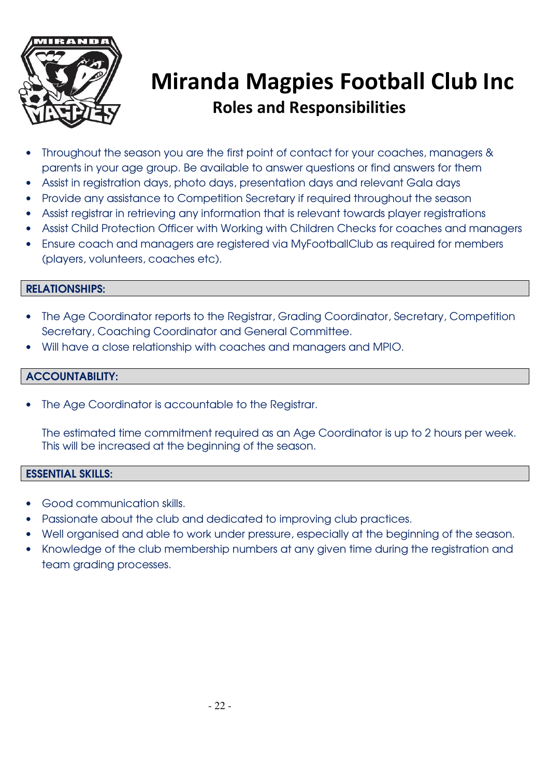

- Throughout the season you are the first point of contact for your coaches, managers & parents in your age group. Be available to answer questions or find answers for them
- Assist in registration days, photo days, presentation days and relevant Gala days
- Provide any assistance to Competition Secretary if required throughout the season
- Assist registrar in retrieving any information that is relevant towards player registrations
- Assist Child Protection Officer with Working with Children Checks for coaches and managers
- Ensure coach and managers are registered via MyFootballClub as required for members (players, volunteers, coaches etc).

#### RELATIONSHIPS:

- The Age Coordinator reports to the Registrar, Grading Coordinator, Secretary, Competition Secretary, Coaching Coordinator and General Committee.
- Will have a close relationship with coaches and managers and MPIO.

#### ACCOUNTABILITY:

The Age Coordinator is accountable to the Registrar.

The estimated time commitment required as an Age Coordinator is up to 2 hours per week. This will be increased at the beginning of the season.

#### ESSENTIAL SKILLS:

- Good communication skills.
- Passionate about the club and dedicated to improving club practices.
- Well organised and able to work under pressure, especially at the beginning of the season.
- Knowledge of the club membership numbers at any given time during the registration and team grading processes.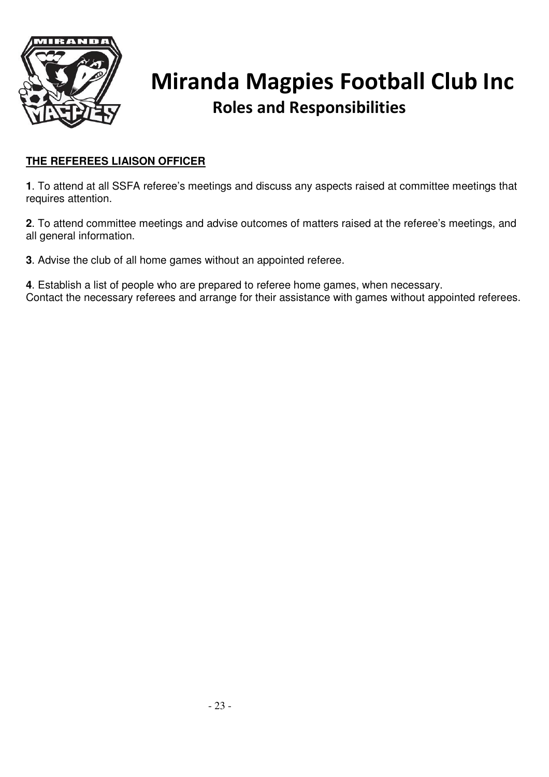

### **THE REFEREES LIAISON OFFICER**

**1**. To attend at all SSFA referee's meetings and discuss any aspects raised at committee meetings that requires attention.

**2**. To attend committee meetings and advise outcomes of matters raised at the referee's meetings, and all general information.

**3**. Advise the club of all home games without an appointed referee.

**4**. Establish a list of people who are prepared to referee home games, when necessary. Contact the necessary referees and arrange for their assistance with games without appointed referees.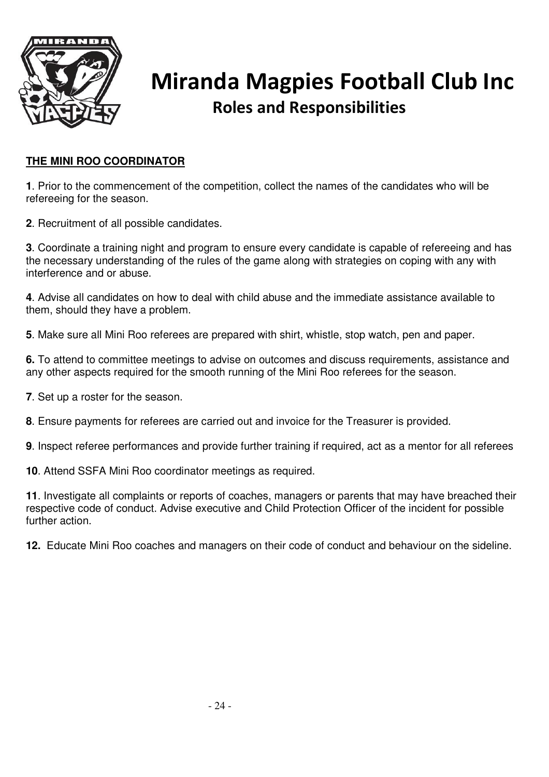

### **THE MINI ROO COORDINATOR**

**1**. Prior to the commencement of the competition, collect the names of the candidates who will be refereeing for the season.

**2**. Recruitment of all possible candidates.

**3**. Coordinate a training night and program to ensure every candidate is capable of refereeing and has the necessary understanding of the rules of the game along with strategies on coping with any with interference and or abuse.

**4**. Advise all candidates on how to deal with child abuse and the immediate assistance available to them, should they have a problem.

**5**. Make sure all Mini Roo referees are prepared with shirt, whistle, stop watch, pen and paper.

**6.** To attend to committee meetings to advise on outcomes and discuss requirements, assistance and any other aspects required for the smooth running of the Mini Roo referees for the season.

**7**. Set up a roster for the season.

**8**. Ensure payments for referees are carried out and invoice for the Treasurer is provided.

**9**. Inspect referee performances and provide further training if required, act as a mentor for all referees

**10**. Attend SSFA Mini Roo coordinator meetings as required.

**11**. Investigate all complaints or reports of coaches, managers or parents that may have breached their respective code of conduct. Advise executive and Child Protection Officer of the incident for possible further action.

**12.** Educate Mini Roo coaches and managers on their code of conduct and behaviour on the sideline.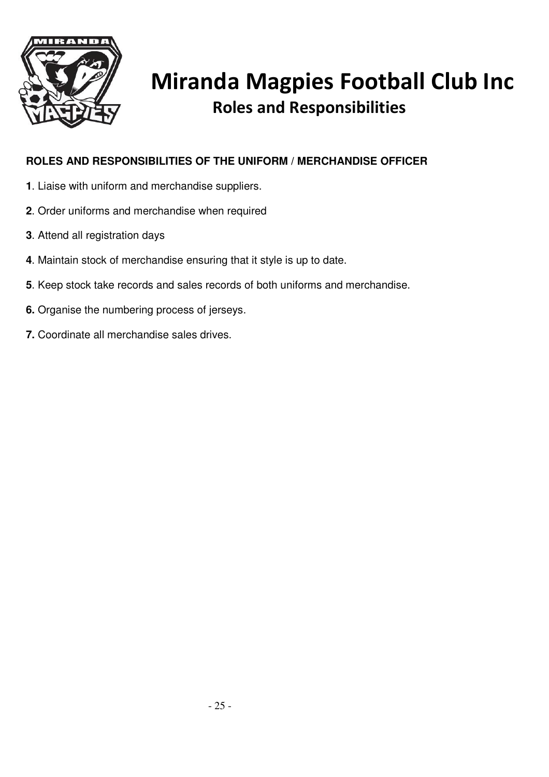

### **ROLES AND RESPONSIBILITIES OF THE UNIFORM / MERCHANDISE OFFICER**

- **1**. Liaise with uniform and merchandise suppliers.
- **2**. Order uniforms and merchandise when required
- **3**. Attend all registration days
- **4**. Maintain stock of merchandise ensuring that it style is up to date.
- **5**. Keep stock take records and sales records of both uniforms and merchandise.
- **6.** Organise the numbering process of jerseys.
- **7.** Coordinate all merchandise sales drives.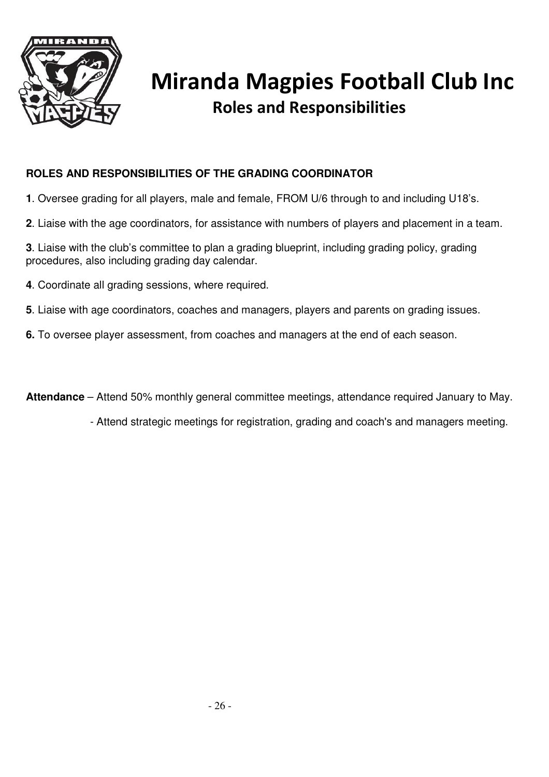

### **ROLES AND RESPONSIBILITIES OF THE GRADING COORDINATOR**

- **1**. Oversee grading for all players, male and female, FROM U/6 through to and including U18's.
- **2**. Liaise with the age coordinators, for assistance with numbers of players and placement in a team.
- **3**. Liaise with the club's committee to plan a grading blueprint, including grading policy, grading procedures, also including grading day calendar.
- **4**. Coordinate all grading sessions, where required.
- **5**. Liaise with age coordinators, coaches and managers, players and parents on grading issues.
- **6.** To oversee player assessment, from coaches and managers at the end of each season.

**Attendance** – Attend 50% monthly general committee meetings, attendance required January to May.

- Attend strategic meetings for registration, grading and coach's and managers meeting.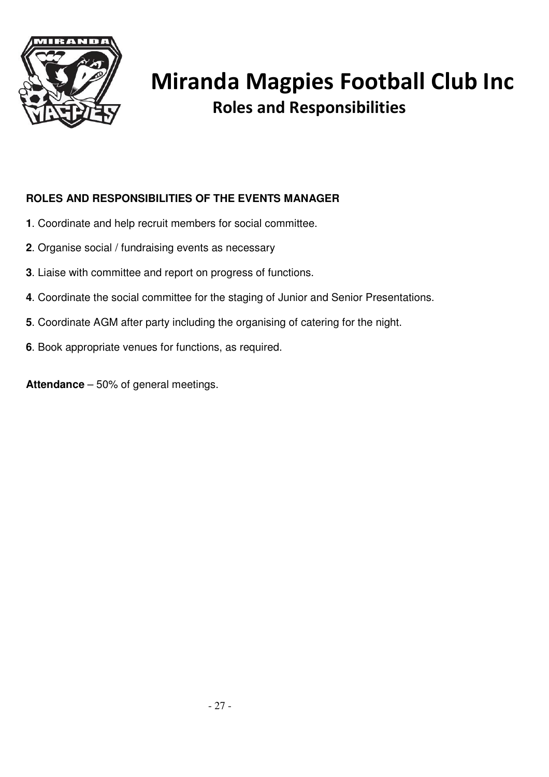

### **ROLES AND RESPONSIBILITIES OF THE EVENTS MANAGER**

- **1**. Coordinate and help recruit members for social committee.
- **2**. Organise social / fundraising events as necessary
- **3**. Liaise with committee and report on progress of functions.
- **4**. Coordinate the social committee for the staging of Junior and Senior Presentations.
- **5**. Coordinate AGM after party including the organising of catering for the night.
- **6**. Book appropriate venues for functions, as required.

**Attendance** – 50% of general meetings.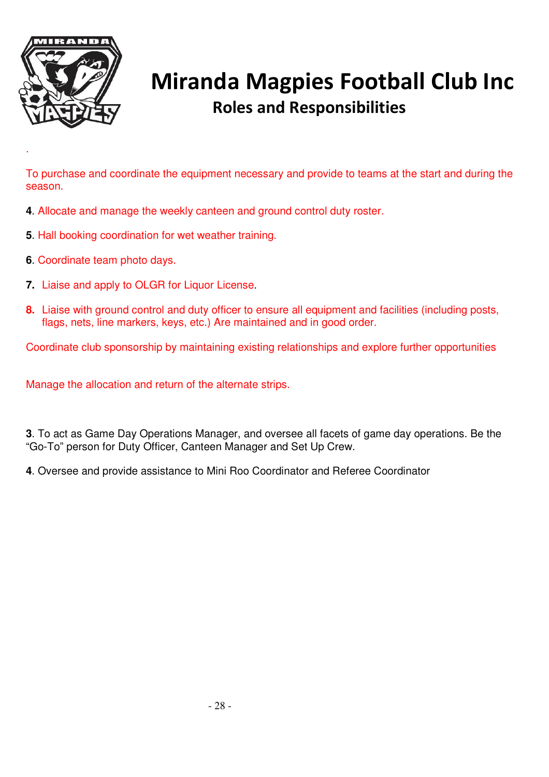

.

# Miranda Magpies Football Club Inc Roles and Responsibilities

To purchase and coordinate the equipment necessary and provide to teams at the start and during the season.

- **4**. Allocate and manage the weekly canteen and ground control duty roster.
- **5**. Hall booking coordination for wet weather training.
- **6**. Coordinate team photo days.
- **7.** Liaise and apply to OLGR for Liquor License.
- **8.** Liaise with ground control and duty officer to ensure all equipment and facilities (including posts, flags, nets, line markers, keys, etc.) Are maintained and in good order.

Coordinate club sponsorship by maintaining existing relationships and explore further opportunities

Manage the allocation and return of the alternate strips.

**3**. To act as Game Day Operations Manager, and oversee all facets of game day operations. Be the "Go-To" person for Duty Officer, Canteen Manager and Set Up Crew.

**4**. Oversee and provide assistance to Mini Roo Coordinator and Referee Coordinator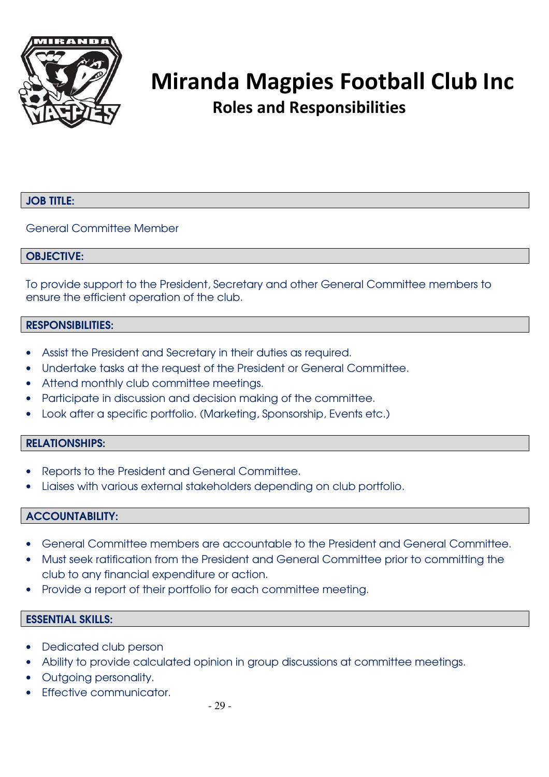

#### JOB TITLE:

General Committee Member

#### OBJECTIVE:

To provide support to the President, Secretary and other General Committee members to ensure the efficient operation of the club.

#### RESPONSIBILITIES:

- Assist the President and Secretary in their duties as required.
- Undertake tasks at the request of the President or General Committee.
- Attend monthly club committee meetings.
- Participate in discussion and decision making of the committee.
- Look after a specific portfolio. (Marketing, Sponsorship, Events etc.)

#### RELATIONSHIPS:

- Reports to the President and General Committee.
- Liaises with various external stakeholders depending on club portfolio.

#### ACCOUNTABILITY:

- General Committee members are accountable to the President and General Committee.
- Must seek ratification from the President and General Committee prior to committing the club to any financial expenditure or action.
- Provide a report of their portfolio for each committee meeting.

#### ESSENTIAL SKILLS:

- Dedicated club person
- Ability to provide calculated opinion in group discussions at committee meetings.
- Outgoing personality.
- Effective communicator.